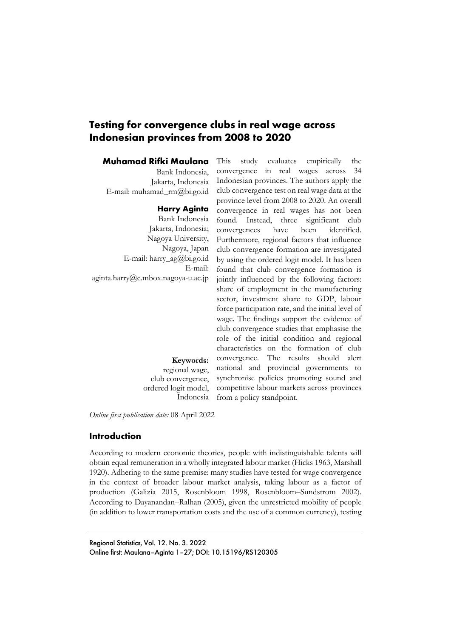# **Testing for convergence clubs in real wage across Indonesian provinces from 2008 to 2020**

### **Muhamad Rifki Maulana**

Bank Indonesia, Jakarta, Indonesia E-mail: muhamad\_rm@bi.go.id

#### **Harry Aginta**

Bank Indonesia Jakarta, Indonesia; Nagoya University, Nagoya, Japan E-mail: harry\_ag@bi.go.id E-mail: aginta.harry@c.mbox.nagoya-u.ac.jp

> **Keywords:**  regional wage, club convergence, ordered logit model, Indonesia

This study evaluates empirically the convergence in real wages across 34 Indonesian provinces. The authors apply the club convergence test on real wage data at the province level from 2008 to 2020. An overall convergence in real wages has not been found. Instead, three significant club convergences have been identified. Furthermore, regional factors that influence club convergence formation are investigated by using the ordered logit model. It has been found that club convergence formation is jointly influenced by the following factors: share of employment in the manufacturing sector, investment share to GDP, labour force participation rate, and the initial level of wage. The findings support the evidence of club convergence studies that emphasise the role of the initial condition and regional characteristics on the formation of club convergence. The results should alert national and provincial governments to synchronise policies promoting sound and competitive labour markets across provinces from a policy standpoint.

*Online first publication date:* 08 April 2022

### **Introduction**

According to modern economic theories, people with indistinguishable talents will obtain equal remuneration in a wholly integrated labour market (Hicks 1963, Marshall 1920). Adhering to the same premise: many studies have tested for wage convergence in the context of broader labour market analysis, taking labour as a factor of production (Galizia 2015, Rosenbloom 1998, Rosenbloom-Sundstrom 2002). According to Dayanandan–Ralhan (2005), given the unrestricted mobility of people (in addition to lower transportation costs and the use of a common currency), testing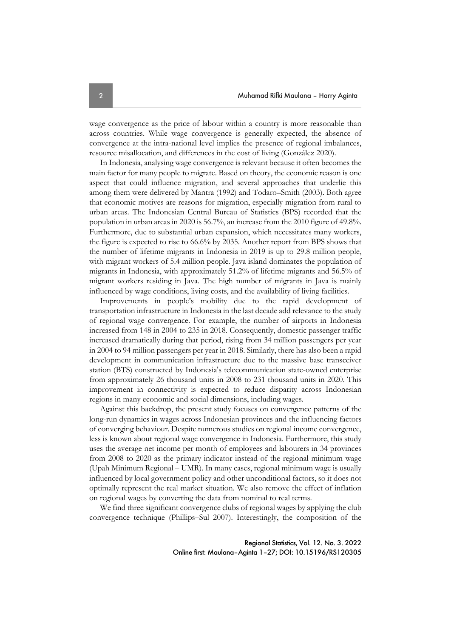wage convergence as the price of labour within a country is more reasonable than across countries. While wage convergence is generally expected, the absence of convergence at the intra-national level implies the presence of regional imbalances, resource misallocation, and differences in the cost of living (González 2020).

In Indonesia, analysing wage convergence is relevant because it often becomes the main factor for many people to migrate. Based on theory, the economic reason is one aspect that could influence migration, and several approaches that underlie this among them were delivered by Mantra (1992) and Todaro–Smith (2003). Both agree that economic motives are reasons for migration, especially migration from rural to urban areas. The Indonesian Central Bureau of Statistics (BPS) recorded that the population in urban areas in 2020 is 56.7%, an increase from the 2010 figure of 49.8%. Furthermore, due to substantial urban expansion, which necessitates many workers, the figure is expected to rise to 66.6% by 2035. Another report from BPS shows that the number of lifetime migrants in Indonesia in 2019 is up to 29.8 million people, with migrant workers of 5.4 million people. Java island dominates the population of migrants in Indonesia, with approximately 51.2% of lifetime migrants and 56.5% of migrant workers residing in Java. The high number of migrants in Java is mainly influenced by wage conditions, living costs, and the availability of living facilities.

Improvements in people's mobility due to the rapid development of transportation infrastructure in Indonesia in the last decade add relevance to the study of regional wage convergence. For example, the number of airports in Indonesia increased from 148 in 2004 to 235 in 2018. Consequently, domestic passenger traffic increased dramatically during that period, rising from 34 million passengers per year in 2004 to 94 million passengers per year in 2018. Similarly, there has also been a rapid development in communication infrastructure due to the massive base transceiver station (BTS) constructed by Indonesia's telecommunication state-owned enterprise from approximately 26 thousand units in 2008 to 231 thousand units in 2020. This improvement in connectivity is expected to reduce disparity across Indonesian regions in many economic and social dimensions, including wages.

Against this backdrop, the present study focuses on convergence patterns of the long-run dynamics in wages across Indonesian provinces and the influencing factors of converging behaviour. Despite numerous studies on regional income convergence, less is known about regional wage convergence in Indonesia. Furthermore, this study uses the average net income per month of employees and labourers in 34 provinces from 2008 to 2020 as the primary indicator instead of the regional minimum wage (Upah Minimum Regional – UMR). In many cases, regional minimum wage is usually influenced by local government policy and other unconditional factors, so it does not optimally represent the real market situation. We also remove the effect of inflation on regional wages by converting the data from nominal to real terms.

We find three significant convergence clubs of regional wages by applying the club convergence technique (Phillips-Sul 2007). Interestingly, the composition of the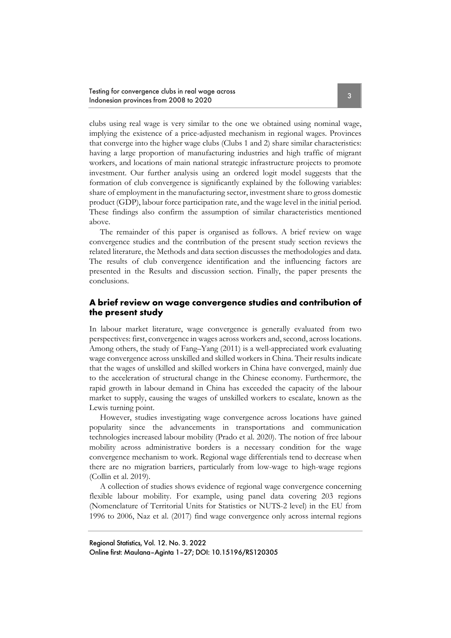clubs using real wage is very similar to the one we obtained using nominal wage, implying the existence of a price-adjusted mechanism in regional wages. Provinces that converge into the higher wage clubs (Clubs 1 and 2) share similar characteristics: having a large proportion of manufacturing industries and high traffic of migrant workers, and locations of main national strategic infrastructure projects to promote investment. Our further analysis using an ordered logit model suggests that the formation of club convergence is significantly explained by the following variables: share of employment in the manufacturing sector, investment share to gross domestic product (GDP), labour force participation rate, and the wage level in the initial period. These findings also confirm the assumption of similar characteristics mentioned above.

The remainder of this paper is organised as follows. A brief review on wage convergence studies and the contribution of the present study section reviews the related literature, the Methods and data section discusses the methodologies and data. The results of club convergence identification and the influencing factors are presented in the Results and discussion section. Finally, the paper presents the conclusions.

### **A brief review on wage convergence studies and contribution of the present study**

In labour market literature, wage convergence is generally evaluated from two perspectives: first, convergence in wages across workers and, second, across locations. Among others, the study of Fang–Yang (2011) is a well-appreciated work evaluating wage convergence across unskilled and skilled workers in China. Their results indicate that the wages of unskilled and skilled workers in China have converged, mainly due to the acceleration of structural change in the Chinese economy. Furthermore, the rapid growth in labour demand in China has exceeded the capacity of the labour market to supply, causing the wages of unskilled workers to escalate, known as the Lewis turning point.

However, studies investigating wage convergence across locations have gained popularity since the advancements in transportations and communication technologies increased labour mobility (Prado et al. 2020). The notion of free labour mobility across administrative borders is a necessary condition for the wage convergence mechanism to work. Regional wage differentials tend to decrease when there are no migration barriers, particularly from low-wage to high-wage regions (Collin et al. 2019).

A collection of studies shows evidence of regional wage convergence concerning flexible labour mobility. For example, using panel data covering 203 regions (Nomenclature of Territorial Units for Statistics or NUTS-2 level) in the EU from 1996 to 2006, Naz et al. (2017) find wage convergence only across internal regions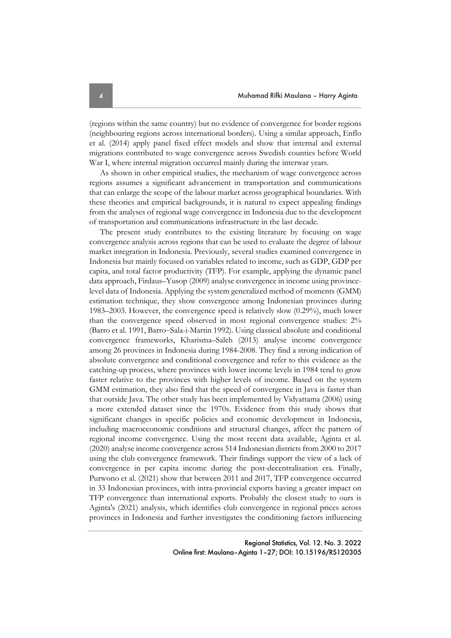(regions within the same country) but no evidence of convergence for border regions (neighbouring regions across international borders). Using a similar approach, Enflo et al. (2014) apply panel fixed effect models and show that internal and external migrations contributed to wage convergence across Swedish counties before World War I, where internal migration occurred mainly during the interwar years.

As shown in other empirical studies, the mechanism of wage convergence across regions assumes a significant advancement in transportation and communications that can enlarge the scope of the labour market across geographical boundaries. With these theories and empirical backgrounds, it is natural to expect appealing findings from the analyses of regional wage convergence in Indonesia due to the development of transportation and communications infrastructure in the last decade.

The present study contributes to the existing literature by focusing on wage convergence analysis across regions that can be used to evaluate the degree of labour market integration in Indonesia. Previously, several studies examined convergence in Indonesia but mainly focused on variables related to income, such as GDP, GDP per capita, and total factor productivity (TFP). For example, applying the dynamic panel data approach, Firdaus–Yusop (2009) analyse convergence in income using provincelevel data of Indonesia. Applying the system generalized method of moments (GMM) estimation technique, they show convergence among Indonesian provinces during 1983–2003. However, the convergence speed is relatively slow (0.29%), much lower than the convergence speed observed in most regional convergence studies: 2% (Barro et al. 1991, Barro‒Sala-i-Martin 1992). Using classical absolute and conditional convergence frameworks, Kharisma–Saleh (2013) analyse income convergence among 26 provinces in Indonesia during 1984-2008. They find a strong indication of absolute convergence and conditional convergence and refer to this evidence as the catching-up process, where provinces with lower income levels in 1984 tend to grow faster relative to the provinces with higher levels of income. Based on the system GMM estimation, they also find that the speed of convergence in Java is faster than that outside Java. The other study has been implemented by Vidyattama (2006) using a more extended dataset since the 1970s. Evidence from this study shows that significant changes in specific policies and economic development in Indonesia, including macroeconomic conditions and structural changes, affect the pattern of regional income convergence. Using the most recent data available, Aginta et al. (2020) analyse income convergence across 514 Indonesian districts from 2000 to 2017 using the club convergence framework. Their findings support the view of a lack of convergence in per capita income during the post-decentralisation era. Finally, Purwono et al. (2021) show that between 2011 and 2017, TFP convergence occurred in 33 Indonesian provinces, with intra-provincial exports having a greater impact on TFP convergence than international exports. Probably the closest study to ours is Aginta's (2021) analysis, which identifies club convergence in regional prices across provinces in Indonesia and further investigates the conditioning factors influencing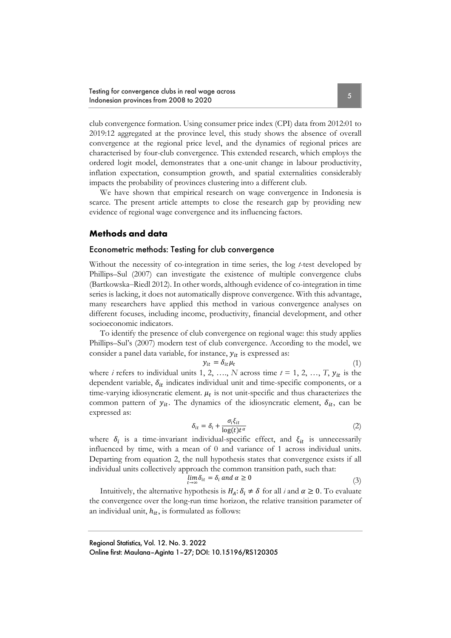club convergence formation. Using consumer price index (CPI) data from 2012:01 to 2019:12 aggregated at the province level, this study shows the absence of overall convergence at the regional price level, and the dynamics of regional prices are characterised by four-club convergence. This extended research, which employs the ordered logit model, demonstrates that a one-unit change in labour productivity, inflation expectation, consumption growth, and spatial externalities considerably impacts the probability of provinces clustering into a different club.

We have shown that empirical research on wage convergence in Indonesia is scarce. The present article attempts to close the research gap by providing new evidence of regional wage convergence and its influencing factors.

### **Methods and data**

#### Econometric methods: Testing for club convergence

Without the necessity of co-integration in time series, the log *t*-test developed by Phillips–Sul (2007) can investigate the existence of multiple convergence clubs (Bartkowska‒Riedl 2012). In other words, although evidence of co-integration in time series is lacking, it does not automatically disprove convergence. With this advantage, many researchers have applied this method in various convergence analyses on different focuses, including income, productivity, financial development, and other socioeconomic indicators.

To identify the presence of club convergence on regional wage: this study applies Phillips–Sul's (2007) modern test of club convergence. According to the model, we consider a panel data variable, for instance,  $y_{it}$  is expressed as:

$$
y_{it} = \delta_{it} \mu_t \tag{1}
$$

where *i* refers to individual units 1, 2, …, *N* across time  $t = 1, 2, ..., T$ ,  $y_{it}$  is the dependent variable,  $\delta_{it}$  indicates individual unit and time-specific components, or a time-varying idiosyncratic element.  $\mu_t$  is not unit-specific and thus characterizes the common pattern of  $y_{it}$ . The dynamics of the idiosyncratic element,  $\delta_{it}$ , can be expressed as:

$$
\delta_{it} = \delta_i + \frac{\sigma_i \xi_{it}}{\log(t) t^{\alpha}} \tag{2}
$$

where  $\delta_i$  is a time-invariant individual-specific effect, and  $\xi_i$  is unnecessarily influenced by time, with a mean of 0 and variance of 1 across individual units. Departing from equation 2, the null hypothesis states that convergence exists if all individual units collectively approach the common transition path, such that:

$$
\lim_{t \to \infty} \delta_{it} = \delta_i \text{ and } \alpha \ge 0 \tag{3}
$$

Intuitively, the alternative hypothesis is  $H_A: \delta_i \neq \delta$  for all *i* and  $\alpha \geq 0$ . To evaluate the convergence over the long-run time horizon, the relative transition parameter of an individual unit,  $h_{it}$ , is formulated as follows:

Regional Statistics, Vol. 12. No. 3. 2022 Online first: Maulana–Aginta 1–27; DOI: 10.15196/RS120305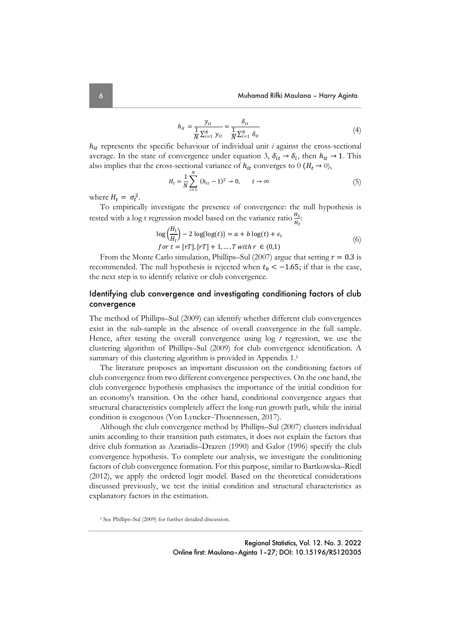$$
h_{it} = \frac{y_{it}}{\frac{1}{N} \sum_{i=1}^{N} y_{it}} = \frac{\delta_{it}}{\frac{1}{N} \sum_{i=1}^{N} \delta_{it}}
$$
(4)

 $h_{it}$  represents the specific behaviour of individual unit  $i$  against the cross-sectional average. In the state of convergence under equation 3,  $\delta_{it} \rightarrow \delta_i$ , then  $h_{it} \rightarrow 1$ . This also implies that the cross-sectional variance of  $h_{it}$  converges to 0 ( $H_t \rightarrow 0$ ),

$$
H_t = \frac{1}{N} \sum_{i=1}^{N} (h_{it} - 1)^2 \to 0, \qquad t \to \infty
$$
 (5)

where  $H_t = \sigma_t^2$ .

To empirically investigate the presence of convergence: the null hypothesis is tested with a log t regression model based on the variance ratio  $\frac{H_1}{H_t}$ :

$$
\log\left(\frac{H_1}{H_t}\right) - 2\log\{\log(t)\} = a + b\log(t) + \epsilon_t
$$
  
for  $t = [rT], [rT] + 1, ..., T$  with  $r \in (0,1)$  (6)

From the Monte Carlo simulation, Phillips–Sul (2007) argue that setting  $r = 0.3$  is recommended. The null hypothesis is rejected when  $t<sub>b</sub> < -1.65$ ; if that is the case, the next step is to identify relative or club convergence.

### Identifying club convergence and investigating conditioning factors of club convergence

The method of Phillips–Sul (2009) can identify whether different club convergences exist in the sub-sample in the absence of overall convergence in the full sample. Hence, after testing the overall convergence using log *t* regression, we use the clustering algorithm of Phillips–Sul (2009) for club convergence identification. A summary of this clustering algorithm is provided in Appendix 1.<sup>1</sup>

The literature proposes an important discussion on the conditioning factors of club convergence from two different convergence perspectives. On the one hand, the club convergence hypothesis emphasises the importance of the initial condition for an economy's transition. On the other hand, conditional convergence argues that structural characteristics completely affect the long-run growth path, while the initial condition is exogenous (Von Lyncker-Thoennessen, 2017).

Although the club convergence method by Phillips–Sul (2007) clusters individual units according to their transition path estimates, it does not explain the factors that drive club formation as Azariadis–Drazen (1990) and Galor (1996) specify the club convergence hypothesis. To complete our analysis, we investigate the conditioning factors of club convergence formation. For this purpose, similar to Bartkowska–Riedl (2012), we apply the ordered logit model. Based on the theoretical considerations discussed previously, we test the initial condition and structural characteristics as explanatory factors in the estimation.

<sup>&</sup>lt;sup>1</sup> See Phillips–Sul (2009) for further detailed discussion.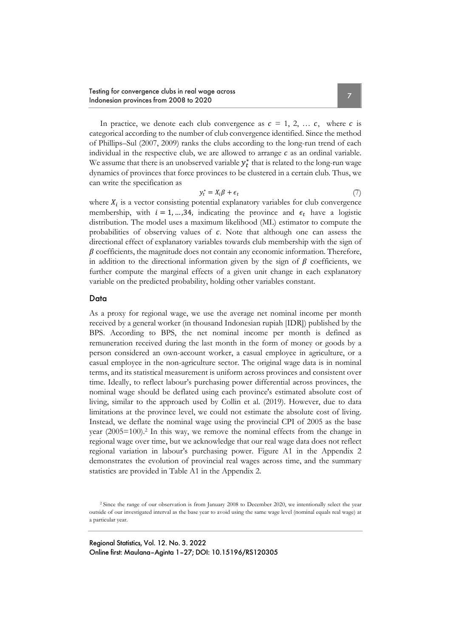In practice, we denote each club convergence as  $c = 1, 2, \ldots c$ , where c is categorical according to the number of club convergence identified. Since the method

of Phillips–Sul (2007, 2009) ranks the clubs according to the long-run trend of each individual in the respective club, we are allowed to arrange  $c$  as an ordinal variable. We assume that there is an unobserved variable  $y_t^\ast$  that is related to the long-run wage dynamics of provinces that force provinces to be clustered in a certain club. Thus, we can write the specification as

$$
y_t^* = X_i \beta + \epsilon_t \tag{7}
$$

where  $X_i$  is a vector consisting potential explanatory variables for club convergence membership, with  $i = 1, \dots, 34$ , indicating the province and  $\epsilon_t$  have a logistic distribution. The model uses a maximum likelihood (ML) estimator to compute the probabilities of observing values of  $c$ . Note that although one can assess the directional effect of explanatory variables towards club membership with the sign of  $\beta$  coefficients, the magnitude does not contain any economic information. Therefore, in addition to the directional information given by the sign of  $\beta$  coefficients, we further compute the marginal effects of a given unit change in each explanatory variable on the predicted probability, holding other variables constant.

#### Data

As a proxy for regional wage, we use the average net nominal income per month received by a general worker (in thousand Indonesian rupiah [IDR]) published by the BPS. According to BPS, the net nominal income per month is defined as remuneration received during the last month in the form of money or goods by a person considered an own-account worker, a casual employee in agriculture, or a casual employee in the non-agriculture sector. The original wage data is in nominal terms, and its statistical measurement is uniform across provinces and consistent over time. Ideally, to reflect labour's purchasing power differential across provinces, the nominal wage should be deflated using each province's estimated absolute cost of living, similar to the approach used by Collin et al. (2019). However, due to data limitations at the province level, we could not estimate the absolute cost of living. Instead, we deflate the nominal wage using the provincial CPI of 2005 as the base year (2005=100).2 In this way, we remove the nominal effects from the change in regional wage over time, but we acknowledge that our real wage data does not reflect regional variation in labour's purchasing power. Figure A1 in the Appendix 2 demonstrates the evolution of provincial real wages across time, and the summary statistics are provided in Table A1 in the Appendix 2.

<sup>2</sup> Since the range of our observation is from January 2008 to December 2020, we intentionally select the year outside of our investigated interval as the base year to avoid using the same wage level (nominal equals real wage) at a particular year.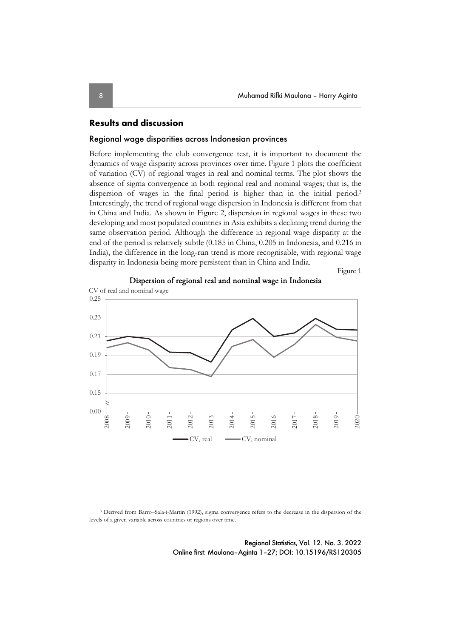### **Results and discussion**

#### Regional wage disparities across Indonesian provinces

Before implementing the club convergence test, it is important to document the dynamics of wage disparity across provinces over time. Figure 1 plots the coefficient of variation (CV) of regional wages in real and nominal terms. The plot shows the absence of sigma convergence in both regional real and nominal wages; that is, the dispersion of wages in the final period is higher than in the initial period.<sup>3</sup> Interestingly, the trend of regional wage dispersion in Indonesia is different from that in China and India. As shown in Figure 2, dispersion in regional wages in these two developing and most populated countries in Asia exhibits a declining trend during the same observation period. Although the difference in regional wage disparity at the end of the period is relatively subtle (0.185 in China, 0.205 in Indonesia, and 0.216 in India), the difference in the long-run trend is more recognisable, with regional wage disparity in Indonesia being more persistent than in China and India.

Figure 1



Dispersion of regional real and nominal wage in Indonesia

3 Derived from Barro–Sala-i-Martin (1992), sigma convergence refers to the decrease in the dispersion of the levels of a given variable across countries or regions over time.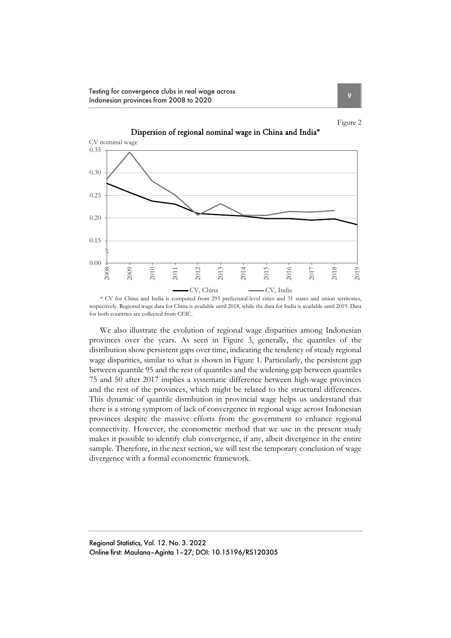Testing for convergence clubs in real wage across Indonesian provinces from 2008 to 2020



Dispersion of regional nominal wage in China and India\*

\* CV for China and India is computed from 295 prefectural-level cities and 31 states and union territories, respectively. Regional wage data for China is available until 2018, while the data for India is available until 2019. Data for both countries are collected from CEIC.

We also illustrate the evolution of regional wage disparities among Indonesian provinces over the years. As seen in Figure 3, generally, the quantiles of the distribution show persistent gaps over time, indicating the tendency of steady regional wage disparities, similar to what is shown in Figure 1. Particularly, the persistent gap between quantile 95 and the rest of quantiles and the widening gap between quantiles 75 and 50 after 2017 implies a systematic difference between high-wage provinces and the rest of the provinces, which might be related to the structural differences. This dynamic of quantile distribution in provincial wage helps us understand that there is a strong symptom of lack of convergence in regional wage across Indonesian provinces despite the massive efforts from the government to enhance regional connectivity. However, the econometric method that we use in the present study makes it possible to identify club convergence, if any, albeit divergence in the entire sample. Therefore, in the next section, we will test the temporary conclusion of wage divergence with a formal econometric framework.

Figure 2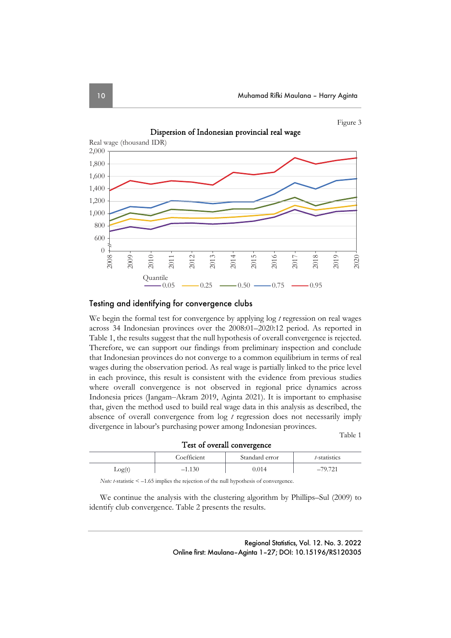Figure 3





#### Testing and identifying for convergence clubs

We begin the formal test for convergence by applying log *t* regression on real wages across 34 Indonesian provinces over the 2008:01–2020:12 period. As reported in Table 1, the results suggest that the null hypothesis of overall convergence is rejected. Therefore, we can support our findings from preliminary inspection and conclude that Indonesian provinces do not converge to a common equilibrium in terms of real wages during the observation period. As real wage is partially linked to the price level in each province, this result is consistent with the evidence from previous studies where overall convergence is not observed in regional price dynamics across Indonesia prices (Jangam‒Akram 2019, Aginta 2021). It is important to emphasise that, given the method used to build real wage data in this analysis as described, the absence of overall convergence from log *t* regression does not necessarily imply divergence in labour's purchasing power among Indonesian provinces.

Table 1

| Test of overall convergence |             |                |              |
|-----------------------------|-------------|----------------|--------------|
|                             | Coefficient | Standard error | t-statistics |
| Log(t)                      | $-1.130$    | 0.014          | $-79.721$    |

*Note: t*-statistic < –1.65 implies the rejection of the null hypothesis of convergence.

We continue the analysis with the clustering algorithm by Phillips–Sul (2009) to identify club convergence. Table 2 presents the results.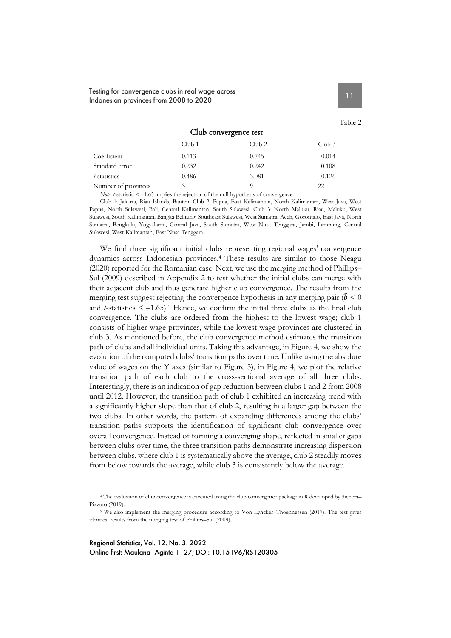| Club convergence test |                   |        |                   |
|-----------------------|-------------------|--------|-------------------|
|                       | Club <sub>1</sub> | Club 2 | Club <sub>3</sub> |
| Coefficient           | 0.113             | 0.745  | $-0.014$          |
| Standard error        | 0.232             | 0.242  | 0.108             |
| t-statistics          | 0.486             | 3.081  | $-0.126$          |

Number of provinces 3 3 9 22 *Note: t*-statistic < –1.65 implies the rejection of the null hypothesis of convergence.

Club 1: Jakarta, Riau Islands, Banten. Club 2: Papua, East Kalimantan, North Kalimantan, West Java, West Papua, North Sulawesi, Bali, Central Kalimantan, South Sulawesi. Club 3: North Maluku, Riau, Maluku, West Sulawesi, South Kalimantan, Bangka Belitung, Southeast Sulawesi, West Sumatra, Aceh, Gorontalo, East Java, North Sumatra, Bengkulu, Yogyakarta, Central Java, South Sumatra, West Nusa Tenggara, Jambi, Lampung, Central Sulawesi, West Kalimantan, East Nusa Tenggara.

We find three significant initial clubs representing regional wages' convergence dynamics across Indonesian provinces.4 These results are similar to those Neagu (2020) reported for the Romanian case. Next, we use the merging method of Phillips– Sul (2009) described in Appendix 2 to test whether the initial clubs can merge with their adjacent club and thus generate higher club convergence. The results from the merging test suggest rejecting the convergence hypothesis in any merging pair ( $\hat{b} < 0$ and  $t$ -statistics  $\leq -1.65$ .<sup>5</sup> Hence, we confirm the initial three clubs as the final club convergence. The clubs are ordered from the highest to the lowest wage; club 1 consists of higher-wage provinces, while the lowest-wage provinces are clustered in club 3. As mentioned before, the club convergence method estimates the transition path of clubs and all individual units. Taking this advantage, in Figure 4, we show the evolution of the computed clubs' transition paths over time. Unlike using the absolute value of wages on the Y axes (similar to Figure 3), in Figure 4, we plot the relative transition path of each club to the cross-sectional average of all three clubs. Interestingly, there is an indication of gap reduction between clubs 1 and 2 from 2008 until 2012. However, the transition path of club 1 exhibited an increasing trend with a significantly higher slope than that of club 2, resulting in a larger gap between the two clubs. In other words, the pattern of expanding differences among the clubs' transition paths supports the identification of significant club convergence over overall convergence. Instead of forming a converging shape, reflected in smaller gaps between clubs over time, the three transition paths demonstrate increasing dispersion between clubs, where club 1 is systematically above the average, club 2 steadily moves from below towards the average, while club 3 is consistently below the average.

4 The evaluation of club convergence is executed using the club convergence package in R developed by Sichera– Pizzuto (2019).

5 We also implement the merging procedure according to Von Lyncker–Thoennessen (2017). The test gives identical results from the merging test of Phillips–Sul (2009).

Regional Statistics, Vol. 12. No. 3. 2022 Online first: Maulana–Aginta 1–27; DOI: 10.15196/RS120305 Table 2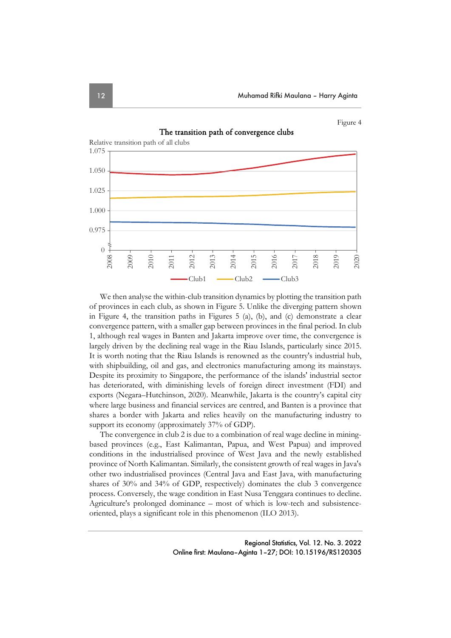

We then analyse the within-club transition dynamics by plotting the transition path of provinces in each club, as shown in Figure 5. Unlike the diverging pattern shown in Figure 4, the transition paths in Figures 5 (a), (b), and (c) demonstrate a clear convergence pattern, with a smaller gap between provinces in the final period. In club 1, although real wages in Banten and Jakarta improve over time, the convergence is largely driven by the declining real wage in the Riau Islands, particularly since 2015. It is worth noting that the Riau Islands is renowned as the country's industrial hub, with shipbuilding, oil and gas, and electronics manufacturing among its mainstays. Despite its proximity to Singapore, the performance of the islands' industrial sector has deteriorated, with diminishing levels of foreign direct investment (FDI) and exports (Negara–Hutchinson, 2020). Meanwhile, Jakarta is the country's capital city where large business and financial services are centred, and Banten is a province that shares a border with Jakarta and relies heavily on the manufacturing industry to support its economy (approximately 37% of GDP).

The convergence in club 2 is due to a combination of real wage decline in miningbased provinces (e.g., East Kalimantan, Papua, and West Papua) and improved conditions in the industrialised province of West Java and the newly established province of North Kalimantan. Similarly, the consistent growth of real wages in Java's other two industrialised provinces (Central Java and East Java, with manufacturing shares of 30% and 34% of GDP, respectively) dominates the club 3 convergence process. Conversely, the wage condition in East Nusa Tenggara continues to decline. Agriculture's prolonged dominance – most of which is low-tech and subsistenceoriented, plays a significant role in this phenomenon (ILO 2013).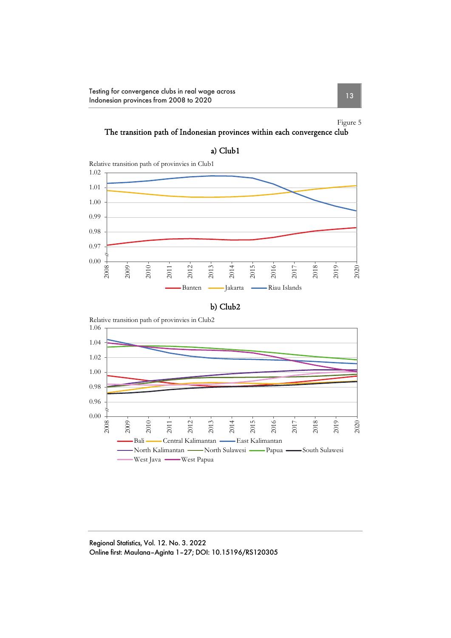Testing for convergence clubs in real wage across Itesting for convergence clubs in real wage across<br>Indonesian provinces from 2008 to 2020

Figure 5

# The transition path of Indonesian provinces within each convergence club







Regional Statistics, Vol. 12. No. 3. 2022 Online first: Maulana–Aginta 1–27; DOI: 10.15196/RS120305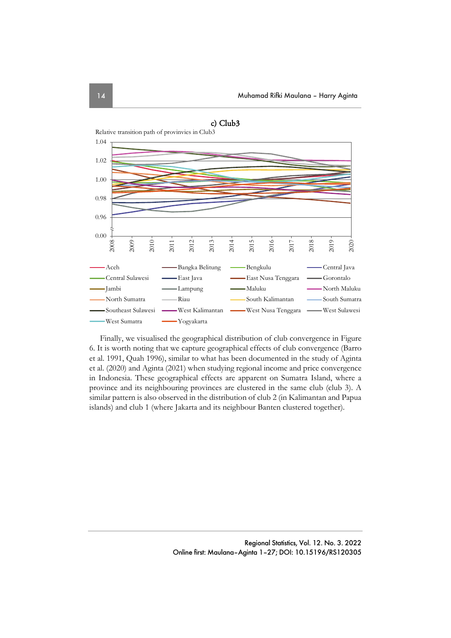

Finally, we visualised the geographical distribution of club convergence in Figure 6. It is worth noting that we capture geographical effects of club convergence (Barro et al. 1991, Quah 1996), similar to what has been documented in the study of Aginta et al. (2020) and Aginta (2021) when studying regional income and price convergence in Indonesia. These geographical effects are apparent on Sumatra Island, where a province and its neighbouring provinces are clustered in the same club (club 3). A similar pattern is also observed in the distribution of club 2 (in Kalimantan and Papua islands) and club 1 (where Jakarta and its neighbour Banten clustered together).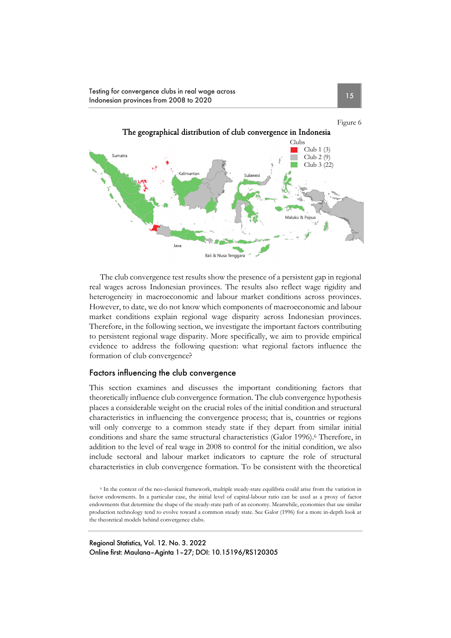Testing for convergence clubs in real wage across Itesting for convergence clubs in real wage across<br>Indonesian provinces from 2008 to 2020



The club convergence test results show the presence of a persistent gap in regional real wages across Indonesian provinces. The results also reflect wage rigidity and heterogeneity in macroeconomic and labour market conditions across provinces. However, to date, we do not know which components of macroeconomic and labour market conditions explain regional wage disparity across Indonesian provinces. Therefore, in the following section, we investigate the important factors contributing to persistent regional wage disparity. More specifically, we aim to provide empirical evidence to address the following question: what regional factors influence the formation of club convergence?

#### Factors influencing the club convergence

This section examines and discusses the important conditioning factors that theoretically influence club convergence formation. The club convergence hypothesis places a considerable weight on the crucial roles of the initial condition and structural characteristics in influencing the convergence process; that is, countries or regions will only converge to a common steady state if they depart from similar initial conditions and share the same structural characteristics (Galor 1996).<sup>6</sup> Therefore, in addition to the level of real wage in 2008 to control for the initial condition, we also include sectoral and labour market indicators to capture the role of structural characteristics in club convergence formation. To be consistent with the theoretical

<sup>6</sup> In the context of the neo-classical framework, multiple steady-state equilibria could arise from the variation in factor endowments. In a particular case, the initial level of capital-labour ratio can be used as a proxy of factor endowments that determine the shape of the steady-state path of an economy. Meanwhile, economies that use similar production technology tend to evolve toward a common steady state. See Galor (1996) for a more in-depth look at the theoretical models behind convergence clubs.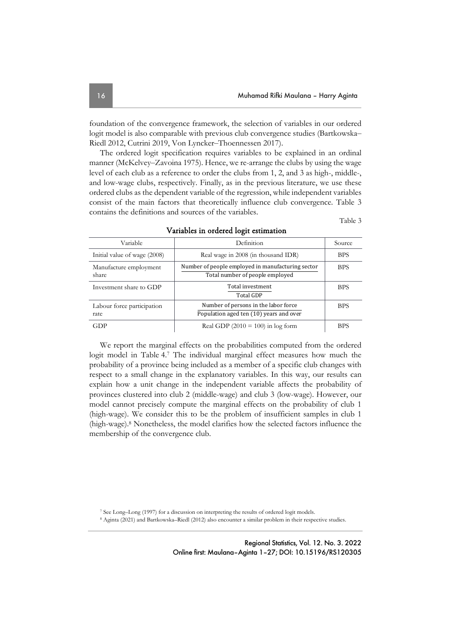foundation of the convergence framework, the selection of variables in our ordered logit model is also comparable with previous club convergence studies (Bartkowska– Riedl 2012, Cutrini 2019, Von Lyncker-Thoennessen 2017).

The ordered logit specification requires variables to be explained in an ordinal manner (McKelvey–Zavoina 1975). Hence, we re-arrange the clubs by using the wage level of each club as a reference to order the clubs from 1, 2, and 3 as high-, middle-, and low-wage clubs, respectively. Finally, as in the previous literature, we use these ordered clubs as the dependent variable of the regression, while independent variables consist of the main factors that theoretically influence club convergence. Table 3 contains the definitions and sources of the variables.

Table 3

| Variable                           | Definition                                                                           | Source     |
|------------------------------------|--------------------------------------------------------------------------------------|------------|
| Initial value of wage (2008)       | Real wage in 2008 (in thousand IDR)                                                  | <b>BPS</b> |
| Manufacture employment<br>share    | Number of people employed in manufacturing sector<br>Total number of people employed | <b>BPS</b> |
| Investment share to GDP            | Total investment<br><b>Total GDP</b>                                                 | <b>BPS</b> |
| Labour force participation<br>rate | Number of persons in the labor force<br>Population aged ten (10) years and over      | <b>BPS</b> |
| GDP                                | Real GDP $(2010 = 100)$ in log form                                                  | <b>BPS</b> |

Variables in ordered logit estimation

We report the marginal effects on the probabilities computed from the ordered logit model in Table 4.7 The individual marginal effect measures how much the probability of a province being included as a member of a specific club changes with respect to a small change in the explanatory variables. In this way, our results can explain how a unit change in the independent variable affects the probability of provinces clustered into club 2 (middle-wage) and club 3 (low-wage). However, our model cannot precisely compute the marginal effects on the probability of club 1 (high-wage). We consider this to be the problem of insufficient samples in club 1 (high-wage).8 Nonetheless, the model clarifies how the selected factors influence the membership of the convergence club.

7 See Long–Long (1997) for a discussion on interpreting the results of ordered logit models.

8 Aginta (2021) and Bartkowska–Riedl (2012) also encounter a similar problem in their respective studies.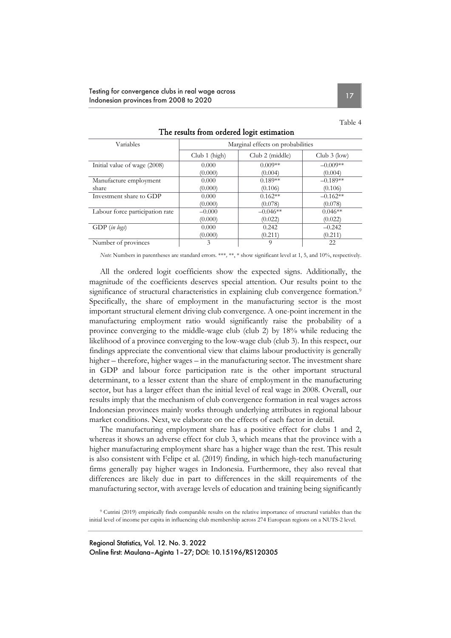#### Testing for convergence clubs in real wage across Indonesian provinces from 2008 to 2020

| ı<br>., |  |
|---------|--|
|---------|--|

| Variables                       | Marginal effects on probabilities |                 |                |  |
|---------------------------------|-----------------------------------|-----------------|----------------|--|
|                                 | Club $1$ (high)                   | Club 2 (middle) | Club $3$ (low) |  |
| Initial value of wage (2008)    | 0.000                             | $0.009**$       | $-0.009**$     |  |
|                                 | (0.000)                           | (0.004)         | (0.004)        |  |
| Manufacture employment          | 0.000                             | $0.189**$       | $-0.189**$     |  |
| share                           | (0.000)                           | (0.106)         | (0.106)        |  |
| Investment share to GDP         | 0.000                             | $0.162**$       | $-0.162**$     |  |
|                                 | (0.000)                           | (0.078)         | (0.078)        |  |
| Labour force participation rate | $-0.000$                          | $-0.046**$      | $0.046**$      |  |
|                                 | (0.000)                           | (0.022)         | (0.022)        |  |
| GDP (in logs)                   | 0.000                             | 0.242           | $-0.242$       |  |
|                                 | (0.000)                           | (0.211)         | (0.211)        |  |
| Number of provinces             | 3                                 | 0               | 22             |  |

The results from ordered logit estimation

*Note*: Numbers in parentheses are standard errors. \*\*\**,* \*\*, \* show significant level at 1, 5, and 10%, respectively.

All the ordered logit coefficients show the expected signs. Additionally, the magnitude of the coefficients deserves special attention. Our results point to the significance of structural characteristics in explaining club convergence formation.<sup>9</sup> Specifically, the share of employment in the manufacturing sector is the most important structural element driving club convergence. A one-point increment in the manufacturing employment ratio would significantly raise the probability of a province converging to the middle-wage club (club 2) by 18% while reducing the likelihood of a province converging to the low-wage club (club 3). In this respect, our findings appreciate the conventional view that claims labour productivity is generally higher – therefore, higher wages – in the manufacturing sector. The investment share in GDP and labour force participation rate is the other important structural determinant, to a lesser extent than the share of employment in the manufacturing sector, but has a larger effect than the initial level of real wage in 2008. Overall, our results imply that the mechanism of club convergence formation in real wages across Indonesian provinces mainly works through underlying attributes in regional labour market conditions. Next, we elaborate on the effects of each factor in detail.

The manufacturing employment share has a positive effect for clubs 1 and 2, whereas it shows an adverse effect for club 3, which means that the province with a higher manufacturing employment share has a higher wage than the rest. This result is also consistent with Felipe et al. (2019) finding, in which high-tech manufacturing firms generally pay higher wages in Indonesia. Furthermore, they also reveal that differences are likely due in part to differences in the skill requirements of the manufacturing sector, with average levels of education and training being significantly

9 Cutrini (2019) empirically finds comparable results on the relative importance of structural variables than the initial level of income per capita in influencing club membership across 274 European regions on a NUTS-2 level.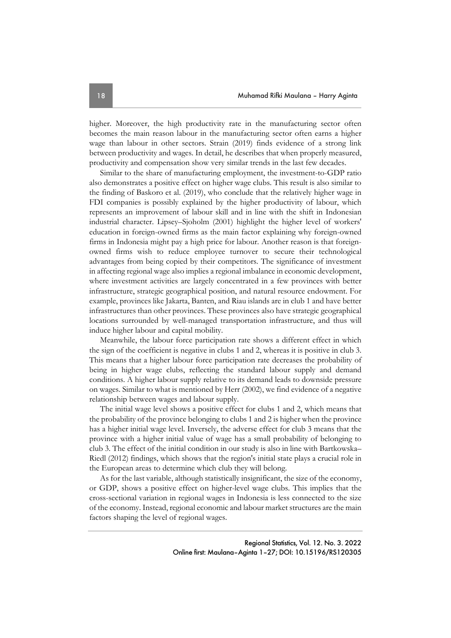higher. Moreover, the high productivity rate in the manufacturing sector often becomes the main reason labour in the manufacturing sector often earns a higher wage than labour in other sectors. Strain (2019) finds evidence of a strong link between productivity and wages. In detail, he describes that when properly measured, productivity and compensation show very similar trends in the last few decades.

Similar to the share of manufacturing employment, the investment-to-GDP ratio also demonstrates a positive effect on higher wage clubs. This result is also similar to the finding of Baskoro et al. (2019), who conclude that the relatively higher wage in FDI companies is possibly explained by the higher productivity of labour, which represents an improvement of labour skill and in line with the shift in Indonesian industrial character. Lipsey–Sjoholm (2001) highlight the higher level of workers' education in foreign-owned firms as the main factor explaining why foreign-owned firms in Indonesia might pay a high price for labour. Another reason is that foreignowned firms wish to reduce employee turnover to secure their technological advantages from being copied by their competitors. The significance of investment in affecting regional wage also implies a regional imbalance in economic development, where investment activities are largely concentrated in a few provinces with better infrastructure, strategic geographical position, and natural resource endowment. For example, provinces like Jakarta, Banten, and Riau islands are in club 1 and have better infrastructures than other provinces. These provinces also have strategic geographical locations surrounded by well-managed transportation infrastructure, and thus will induce higher labour and capital mobility.

Meanwhile, the labour force participation rate shows a different effect in which the sign of the coefficient is negative in clubs 1 and 2, whereas it is positive in club 3. This means that a higher labour force participation rate decreases the probability of being in higher wage clubs, reflecting the standard labour supply and demand conditions. A higher labour supply relative to its demand leads to downside pressure on wages. Similar to what is mentioned by Herr (2002), we find evidence of a negative relationship between wages and labour supply.

The initial wage level shows a positive effect for clubs 1 and 2, which means that the probability of the province belonging to clubs 1 and 2 is higher when the province has a higher initial wage level. Inversely, the adverse effect for club 3 means that the province with a higher initial value of wage has a small probability of belonging to club 3. The effect of the initial condition in our study is also in line with Bartkowska– Riedl (2012) findings, which shows that the region's initial state plays a crucial role in the European areas to determine which club they will belong.

As for the last variable, although statistically insignificant, the size of the economy, or GDP, shows a positive effect on higher-level wage clubs. This implies that the cross-sectional variation in regional wages in Indonesia is less connected to the size of the economy. Instead, regional economic and labour market structures are the main factors shaping the level of regional wages.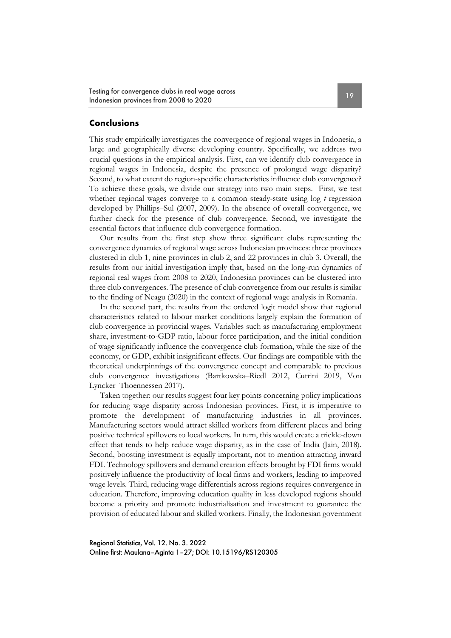Testing for convergence clubs in real wage across Itesting for convergence clubs in real wage across<br>Indonesian provinces from 2008 to 2020

#### **Conclusions**

This study empirically investigates the convergence of regional wages in Indonesia, a large and geographically diverse developing country. Specifically, we address two crucial questions in the empirical analysis. First, can we identify club convergence in regional wages in Indonesia, despite the presence of prolonged wage disparity? Second, to what extent do region-specific characteristics influence club convergence? To achieve these goals, we divide our strategy into two main steps. First, we test whether regional wages converge to a common steady-state using log *t* regression developed by Phillips–Sul (2007, 2009). In the absence of overall convergence, we further check for the presence of club convergence. Second, we investigate the essential factors that influence club convergence formation.

Our results from the first step show three significant clubs representing the convergence dynamics of regional wage across Indonesian provinces: three provinces clustered in club 1, nine provinces in club 2, and 22 provinces in club 3. Overall, the results from our initial investigation imply that, based on the long-run dynamics of regional real wages from 2008 to 2020, Indonesian provinces can be clustered into three club convergences. The presence of club convergence from our results is similar to the finding of Neagu (2020) in the context of regional wage analysis in Romania.

In the second part, the results from the ordered logit model show that regional characteristics related to labour market conditions largely explain the formation of club convergence in provincial wages. Variables such as manufacturing employment share, investment-to-GDP ratio, labour force participation, and the initial condition of wage significantly influence the convergence club formation, while the size of the economy, or GDP, exhibit insignificant effects. Our findings are compatible with the theoretical underpinnings of the convergence concept and comparable to previous club convergence investigations (Bartkowska‒Riedl 2012, Cutrini 2019, Von Lyncker-Thoennessen 2017).

Taken together: our results suggest four key points concerning policy implications for reducing wage disparity across Indonesian provinces. First, it is imperative to promote the development of manufacturing industries in all provinces. Manufacturing sectors would attract skilled workers from different places and bring positive technical spillovers to local workers. In turn, this would create a trickle-down effect that tends to help reduce wage disparity, as in the case of India (Jain, 2018). Second, boosting investment is equally important, not to mention attracting inward FDI. Technology spillovers and demand creation effects brought by FDI firms would positively influence the productivity of local firms and workers, leading to improved wage levels. Third, reducing wage differentials across regions requires convergence in education. Therefore, improving education quality in less developed regions should become a priority and promote industrialisation and investment to guarantee the provision of educated labour and skilled workers. Finally, the Indonesian government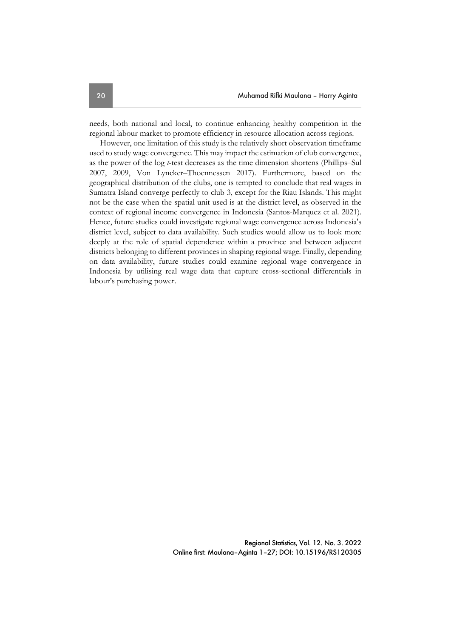needs, both national and local, to continue enhancing healthy competition in the regional labour market to promote efficiency in resource allocation across regions.

However, one limitation of this study is the relatively short observation timeframe used to study wage convergence. This may impact the estimation of club convergence, as the power of the log *t*-test decreases as the time dimension shortens (Phillips–Sul 2007, 2009, Von Lyncker-Thoennessen 2017). Furthermore, based on the geographical distribution of the clubs, one is tempted to conclude that real wages in Sumatra Island converge perfectly to club 3, except for the Riau Islands. This might not be the case when the spatial unit used is at the district level, as observed in the context of regional income convergence in Indonesia (Santos-Marquez et al. 2021). Hence, future studies could investigate regional wage convergence across Indonesia's district level, subject to data availability. Such studies would allow us to look more deeply at the role of spatial dependence within a province and between adjacent districts belonging to different provinces in shaping regional wage. Finally, depending on data availability, future studies could examine regional wage convergence in Indonesia by utilising real wage data that capture cross-sectional differentials in labour's purchasing power.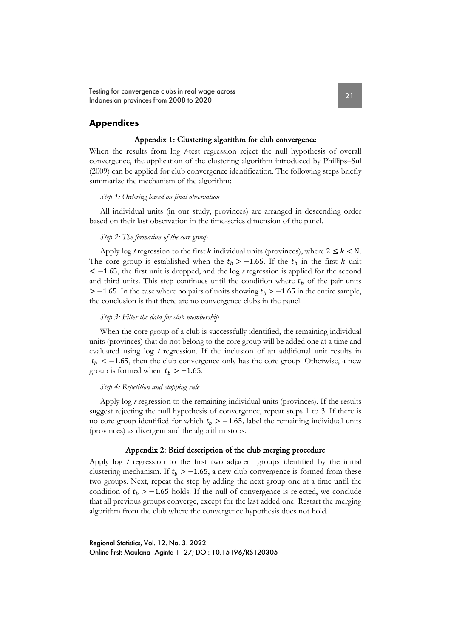Testing for convergence clubs in real wage across Itesting for convergence clubs in real wage across<br>
Indonesian provinces from 2008 to 2020

### **Appendices**

#### Appendix 1: Clustering algorithm for club convergence

When the results from log *t*-test regression reject the null hypothesis of overall convergence, the application of the clustering algorithm introduced by Phillips–Sul (2009) can be applied for club convergence identification. The following steps briefly summarize the mechanism of the algorithm:

#### *Step 1: Ordering based on final observation*

All individual units (in our study, provinces) are arranged in descending order based on their last observation in the time-series dimension of the panel.

#### *Step 2: The formation of the core group*

Apply log *t* regression to the first *k* individual units (provinces), where  $2 \le k < N$ . The core group is established when the  $t_h > -1.65$ . If the  $t_h$  in the first k unit < −1.65, the first unit is dropped, and the log *t* regression is applied for the second and third units. This step continues until the condition where  $t<sub>b</sub>$  of the pair units  $> -1.65$ . In the case where no pairs of units showing  $t_b > -1.65$  in the entire sample, the conclusion is that there are no convergence clubs in the panel.

#### *Step 3: Filter the data for club membership*

When the core group of a club is successfully identified, the remaining individual units (provinces) that do not belong to the core group will be added one at a time and evaluated using log *t* regression. If the inclusion of an additional unit results in  $t_b < -1.65$ , then the club convergence only has the core group. Otherwise, a new group is formed when  $t<sub>b</sub> > -1.65$ .

#### *Step 4: Repetition and stopping rule*

Apply log *t* regression to the remaining individual units (provinces). If the results suggest rejecting the null hypothesis of convergence, repeat steps 1 to 3. If there is no core group identified for which  $t<sub>b</sub> > -1.65$ , label the remaining individual units (provinces) as divergent and the algorithm stops.

#### Appendix 2: Brief description of the club merging procedure

Apply log *t* regression to the first two adjacent groups identified by the initial clustering mechanism. If  $t_b > -1.65$ , a new club convergence is formed from these two groups. Next, repeat the step by adding the next group one at a time until the condition of  $t_b$  > −1.65 holds. If the null of convergence is rejected, we conclude that all previous groups converge, except for the last added one. Restart the merging algorithm from the club where the convergence hypothesis does not hold.

Regional Statistics, Vol. 12. No. 3. 2022 Online first: Maulana–Aginta 1–27; DOI: 10.15196/RS120305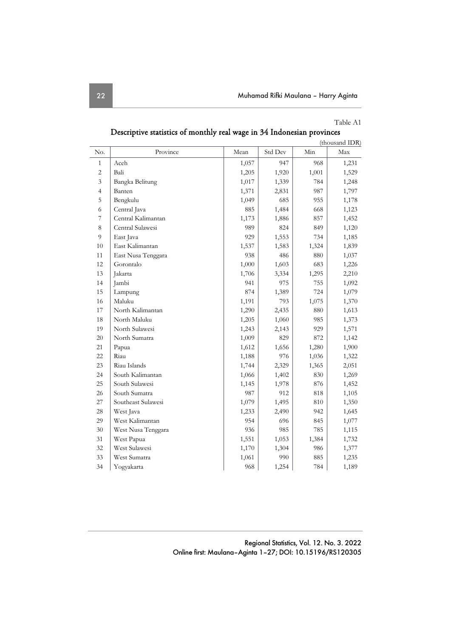#### Table A1

|                |                    |       |         |       | (thousand IDR) |
|----------------|--------------------|-------|---------|-------|----------------|
| No.            | Province           | Mean  | Std Dev | Min   | Max            |
| $\mathbf{1}$   | Aceh               | 1,057 | 947     | 968   | 1,231          |
| $\overline{2}$ | Bali               | 1,205 | 1,920   | 1,001 | 1,529          |
| 3              | Bangka Belitung    | 1,017 | 1,339   | 784   | 1,248          |
| $\overline{4}$ | Banten             | 1,371 | 2,831   | 987   | 1,797          |
| 5              | Bengkulu           | 1,049 | 685     | 955   | 1,178          |
| 6              | Central Java       | 885   | 1,484   | 668   | 1,123          |
| 7              | Central Kalimantan | 1,173 | 1,886   | 857   | 1,452          |
| 8              | Central Sulawesi   | 989   | 824     | 849   | 1,120          |
| 9              | East Java          | 929   | 1,553   | 734   | 1,185          |
| 10             | East Kalimantan    | 1,537 | 1,583   | 1,324 | 1,839          |
| 11             | East Nusa Tenggara | 938   | 486     | 880   | 1,037          |
| 12             | Gorontalo          | 1,000 | 1,603   | 683   | 1,226          |
| 13             | Jakarta            | 1,706 | 3,334   | 1,295 | 2,210          |
| 14             | Jambi              | 941   | 975     | 755   | 1,092          |
| 15             | Lampung            | 874   | 1,389   | 724   | 1,079          |
| 16             | Maluku             | 1,191 | 793     | 1,075 | 1,370          |
| 17             | North Kalimantan   | 1,290 | 2,435   | 880   | 1,613          |
| 18             | North Maluku       | 1,205 | 1,060   | 985   | 1,373          |
| 19             | North Sulawesi     | 1,243 | 2,143   | 929   | 1,571          |
| 20             | North Sumatra      | 1,009 | 829     | 872   | 1,142          |
| 21             | Papua              | 1,612 | 1,656   | 1,280 | 1,900          |
| 22             | Riau               | 1,188 | 976     | 1,036 | 1,322          |
| 23             | Riau Islands       | 1,744 | 2,329   | 1,365 | 2,051          |
| 24             | South Kalimantan   | 1,066 | 1,402   | 830   | 1,269          |
| 25             | South Sulawesi     | 1,145 | 1,978   | 876   | 1,452          |
| 26             | South Sumatra      | 987   | 912     | 818   | 1,105          |
| 27             | Southeast Sulawesi | 1,079 | 1,495   | 810   | 1,350          |
| 28             | West Java          | 1,233 | 2,490   | 942   | 1,645          |
| 29             | West Kalimantan    | 954   | 696     | 845   | 1,077          |
| 30             | West Nusa Tenggara | 936   | 985     | 785   | 1,115          |
| 31             | West Papua         | 1,551 | 1,053   | 1,384 | 1,732          |
| 32             | West Sulawesi      | 1,170 | 1,304   | 986   | 1,377          |
| 33             | West Sumatra       | 1,061 | 990     | 885   | 1,235          |
| 34             | Yogyakarta         | 968   | 1,254   | 784   | 1,189          |

Descriptive statistics of monthly real wage in 34 Indonesian provinces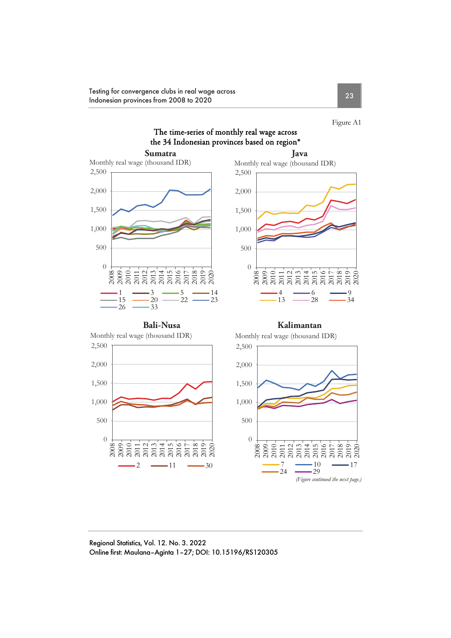Testing for convergence clubs in real wage across Indonesian provinces from 2008 to 2020<br>Indonesian provinces from 2008 to 2020

Figure A1

## The time-series of monthly real wage across the 34 Indonesian provinces based on region\*

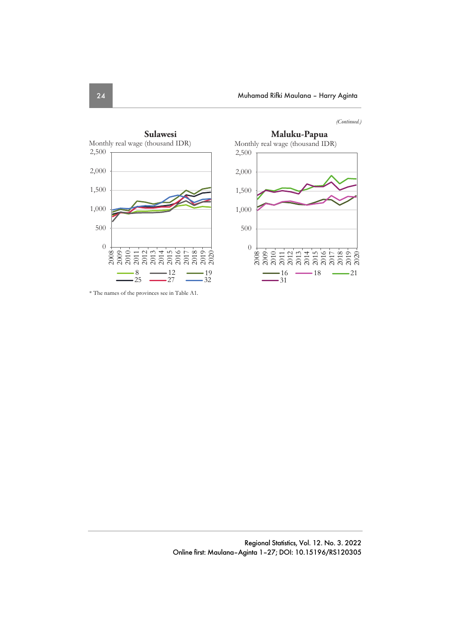*(Continued.)* 





\* The names of the provinces see in Table A1.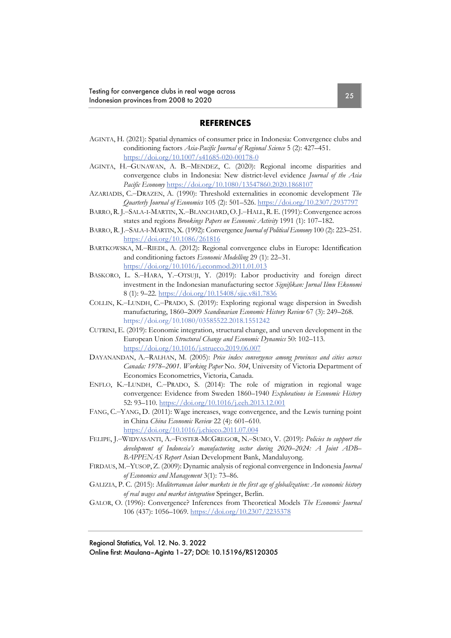#### **REFERENCES**

- AGINTA, H. (2021): Spatial dynamics of consumer price in Indonesia: Convergence clubs and conditioning factors *Asia-Pacific Journal of Regional Science* 5 (2): 427–451. https://doi.org/10.1007/s41685-020-00178-0
- AGINTA, H.-GUNAWAN, A. B.-MENDEZ, C. (2020): Regional income disparities and convergence clubs in Indonesia: New district-level evidence *Journal of the Asia Pacific Economy* https://doi.org/10.1080/13547860.2020.1868107
- AZARIADIS, C.‒DRAZEN, A. (1990): Threshold externalities in economic development *The Quarterly Journal of Economics* 105 (2): 501–526. https://doi.org/10.2307/2937797
- BARRO, R. J.-SALA-I-MARTIN, X.-BLANCHARD, O. J.-HALL, R. E. (1991): Convergence across states and regions *Brookings Papers on Economic Activity* 1991 (1): 107–182.
- BARRO, R. J.‒SALA-I-MARTIN,X. (1992): Convergence *Journal of Political Economy* 100 (2): 223–251. https://doi.org/10.1086/261816
- BARTKOWSKA, M.‒RIEDL, A. (2012): Regional convergence clubs in Europe: Identification and conditioning factors *Economic Modelling* 29 (1): 22–31. https://doi.org/10.1016/j.econmod.2011.01.013
- BASKORO, L. S.-HARA, Y.-OTSUJI, Y. (2019): Labor productivity and foreign direct investment in the Indonesian manufacturing sector *Signifikan: Jurnal Ilmu Ekonomi* 8 (1): 9–22. https://doi.org/10.15408/sjie.v8i1.7836
- COLLIN, K.‒LUNDH, C.‒PRADO, S. (2019): Exploring regional wage dispersion in Swedish manufacturing, 1860–2009 *Scandinavian Economic History Review* 67 (3): 249–268. https://doi.org/10.1080/03585522.2018.1551242
- CUTRINI, E. (2019): Economic integration, structural change, and uneven development in the European Union *Structural Change and Economic Dynamics* 50: 102–113. https://doi.org/10.1016/j.strueco.2019.06.007
- DAYANANDAN, A.–RALHAN, M. (2005): *Price index convergence among provinces and cities across Canada: 1978–2001*. *Working Paper* No. *504*, University of Victoria Department of Economics Econometrics, Victoria, Canada.
- ENFLO, K.‒LUNDH, C.‒PRADO, S. (2014): The role of migration in regional wage convergence: Evidence from Sweden 1860–1940 *Explorations in Economic History* 52: 93–110. https://doi.org/10.1016/j.eeh.2013.12.001
- FANG, C.–YANG, D. (2011): Wage increases, wage convergence, and the Lewis turning point in China *China Economic Review* 22 (4): 601–610. https://doi.org/10.1016/j.chieco.2011.07.004
- FELIPE, J.-WIDYASANTI, A.-FOSTER-MCGREGOR, N.-SUMO, V. (2019): *Policies to support the development of Indonesia's manufacturing sector during 2020–2024: A Joint ADB– BAPPENAS Report* Asian Development Bank, Mandaluyong.
- FIRDAUS, M.‒YUSOP,Z. (2009): Dynamic analysis of regional convergence in Indonesia *Journal of Economics and Management* 3(1): 73–86.
- GALIZIA, P. C. (2015): *Mediterranean labor markets in the first age of globalization: An economic history of real wages and market integration* Springer, Berlin.
- GALOR, O. (1996): Convergence? Inferences from Theoretical Models *The Economic Journal* 106 (437): 1056–1069. https://doi.org/10.2307/2235378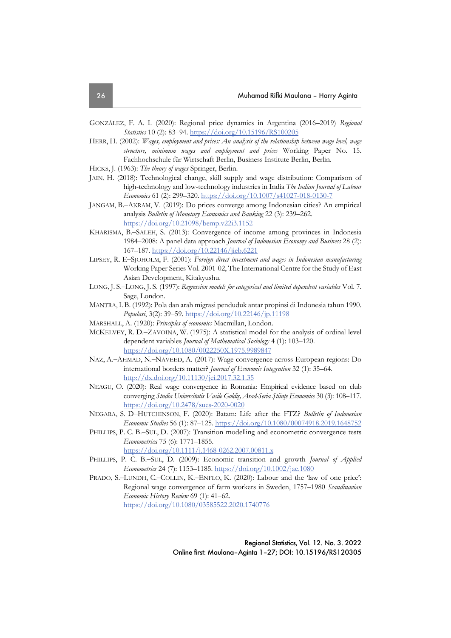- GONZÁLEZ, F. A. I. (2020): Regional price dynamics in Argentina (2016–2019) *Regional Statistics* 10 (2): 83–94. https://doi.org/10.15196/RS100205
- HERR, H. (2002): *Wages, employment and prices: An analysis of the relationship between wage level, wage structure, minimum wages and employment and prices* Working Paper No. 15. Fachhochschule für Wirtschaft Berlin, Business Institute Berlin, Berlin.
- HICKS, J. (1963): *The theory of wages* Springer, Berlin.
- JAIN, H. (2018): Technological change, skill supply and wage distribution: Comparison of high-technology and low-technology industries in India *The Indian Journal of Labour Economics* 61 (2): 299–320. https://doi.org/10.1007/s41027-018-0130-7
- JANGAM, B.-AKRAM, V. (2019): Do prices converge among Indonesian cities? An empirical analysis *Bulletin of Monetary Economics and Banking* 22 (3): 239–262. https://doi.org/10.21098/bemp.v22i3.1152
- KHARISMA, B.-SALEH, S. (2013): Convergence of income among provinces in Indonesia 1984–2008: A panel data approach *Journal of Indonesian Economy and Business* 28 (2): 167–187. https://doi.org/10.22146/jieb.6221
- LIPSEY, R. E-SJOHOLM, F. (2001): *Foreign direct investment and wages in Indonesian manufacturing* Working Paper Series Vol. 2001-02, The International Centre for the Study of East Asian Development, Kitakyushu.
- LONG, J. S.-LONG, J. S. (1997): *Regression models for categorical and limited dependent variables* Vol. 7. Sage, London.
- MANTRA,I. B. (1992): Pola dan arah migrasi penduduk antar propinsi di Indonesia tahun 1990. *Populasi*, 3(2): 39‒59. https://doi.org/10.22146/jp.11198
- MARSHALL, A. (1920): *Principles of economics* Macmillan, London.
- MCKELVEY, R. D.-ZAVOINA, W. (1975): A statistical model for the analysis of ordinal level dependent variables *Journal of Mathematical Sociology* 4 (1): 103–120. https://doi.org/10.1080/0022250X.1975.9989847
- NAZ, A.-AHMAD, N.-NAVEED, A. (2017): Wage convergence across European regions: Do international borders matter? *Journal of Economic Integration* 32 (1): 35–64. http://dx.doi.org/10.11130/jei.2017.32.1.35
- NEAGU, O. (2020): Real wage convergence in Romania: Empirical evidence based on club converging *Studia Universitatis Vasile Goldiş, Arad-Seria Ştiinţe Economice* 30 (3): 108–117. https://doi.org/10.2478/sues-2020-0020
- NEGARA, S. D‒HUTCHINSON, F. (2020): Batam: Life after the FTZ? *Bulletin of Indonesian Economic Studies* 56 (1): 87–125. https://doi.org/10.1080/00074918.2019.1648752
- PHILLIPS, P. C. B.-SUL, D. (2007): Transition modelling and econometric convergence tests *Econometrica* 75 (6): 1771–1855.

https://doi.org/10.1111/j.1468-0262.2007.00811.x

PHILLIPS, P. C. B.-SUL, D. (2009): Economic transition and growth *Journal of Applied Econometrics* 24 (7): 1153–1185. https://doi.org/10.1002/jae.1080

PRADO, S.-LUNDH, C.-COLLIN, K.-ENFLO, K. (2020): Labour and the 'law of one price': Regional wage convergence of farm workers in Sweden, 1757–1980 *Scandinavian Economic History Review* 69 (1): 41–62. https://doi.org/10.1080/03585522.2020.1740776